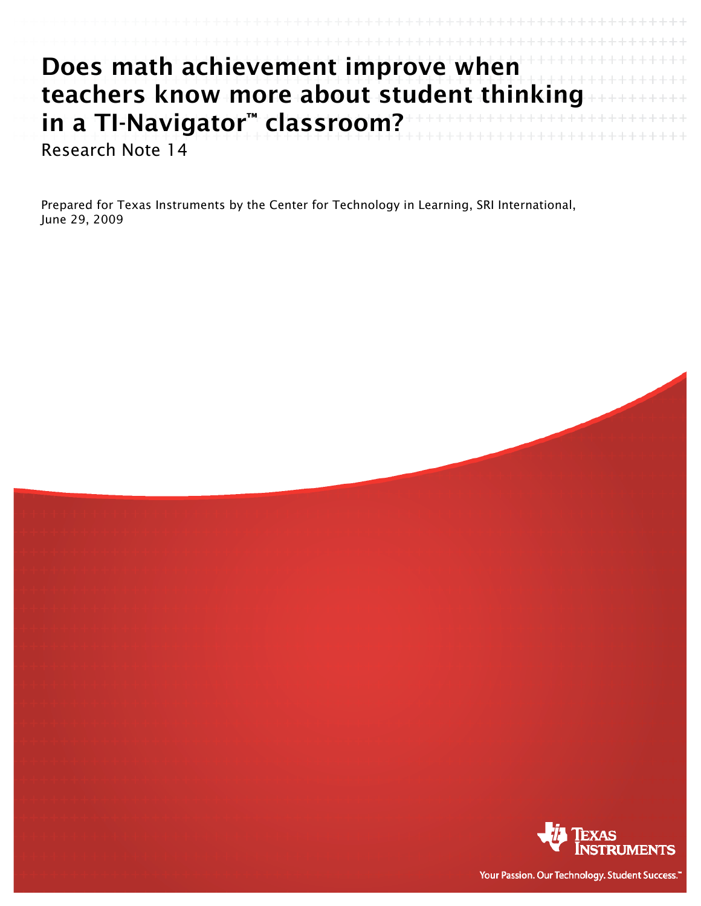| Does math achievement improve when        |  |
|-------------------------------------------|--|
| teachers know more about student thinking |  |
| in a TI-Navigator™ classroom?             |  |
| Research Note 14                          |  |

Prepared for Texas Instruments by the Center for Technology in Learning, SRI International, June 29, 2009



Your Passion. Our Technology. Student Success."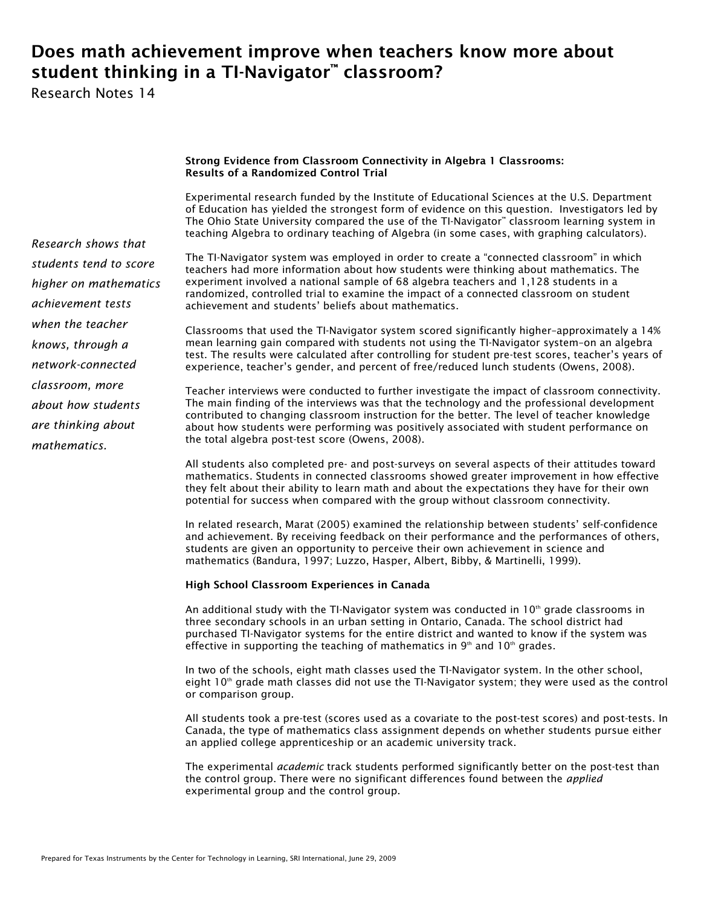# Does math achievement improve when teachers know more about student thinking in a TI-Navigator™ classroom?

Research Notes 14

# Strong Evidence from Classroom Connectivity in Algebra 1 Classrooms: Results of a Randomized Control Trial

Experimental research funded by the Institute of Educational Sciences at the U.S. Department of Education has yielded the strongest form of evidence on this question. Investigators led by The Ohio State University compared the use of the TI-Navigator™ classroom learning system in teaching Algebra to ordinary teaching of Algebra (in some cases, with graphing calculators).

The TI-Navigator system was employed in order to create a "connected classroom" in which teachers had more information about how students were thinking about mathematics. The experiment involved a national sample of 68 algebra teachers and 1,128 students in a randomized, controlled trial to examine the impact of a connected classroom on student achievement and students' beliefs about mathematics.

Classrooms that used the TI-Navigator system scored significantly higher–approximately a 14% mean learning gain compared with students not using the TI-Navigator system–on an algebra test. The results were calculated after controlling for student pre-test scores, teacher's years of experience, teacher's gender, and percent of free/reduced lunch students (Owens, 2008).

Teacher interviews were conducted to further investigate the impact of classroom connectivity. The main finding of the interviews was that the technology and the professional development contributed to changing classroom instruction for the better. The level of teacher knowledge about how students were performing was positively associated with student performance on the total algebra post-test score (Owens, 2008).

All students also completed pre- and post-surveys on several aspects of their attitudes toward mathematics. Students in connected classrooms showed greater improvement in how effective they felt about their ability to learn math and about the expectations they have for their own potential for success when compared with the group without classroom connectivity.

In related research, Marat (2005) examined the relationship between students' self-confidence and achievement. By receiving feedback on their performance and the performances of others, students are given an opportunity to perceive their own achievement in science and mathematics (Bandura, 1997; Luzzo, Hasper, Albert, Bibby, & Martinelli, 1999).

## High School Classroom Experiences in Canada

An additional study with the TI-Navigator system was conducted in  $10<sup>th</sup>$  grade classrooms in three secondary schools in an urban setting in Ontario, Canada. The school district had purchased TI-Navigator systems for the entire district and wanted to know if the system was effective in supporting the teaching of mathematics in  $9<sup>th</sup>$  and 10<sup>th</sup> grades.

In two of the schools, eight math classes used the TI-Navigator system. In the other school, eight  $10<sup>th</sup>$  grade math classes did not use the TI-Navigator system; they were used as the control or comparison group.

All students took a pre-test (scores used as a covariate to the post-test scores) and post-tests. In Canada, the type of mathematics class assignment depends on whether students pursue either an applied college apprenticeship or an academic university track.

The experimental *academic* track students performed significantly better on the post-test than the control group. There were no significant differences found between the *applied* experimental group and the control group.

*Research shows that students tend to score higher on mathematics achievement tests when the teacher knows, through a network-connected classroom, more about how students are thinking about mathematics.*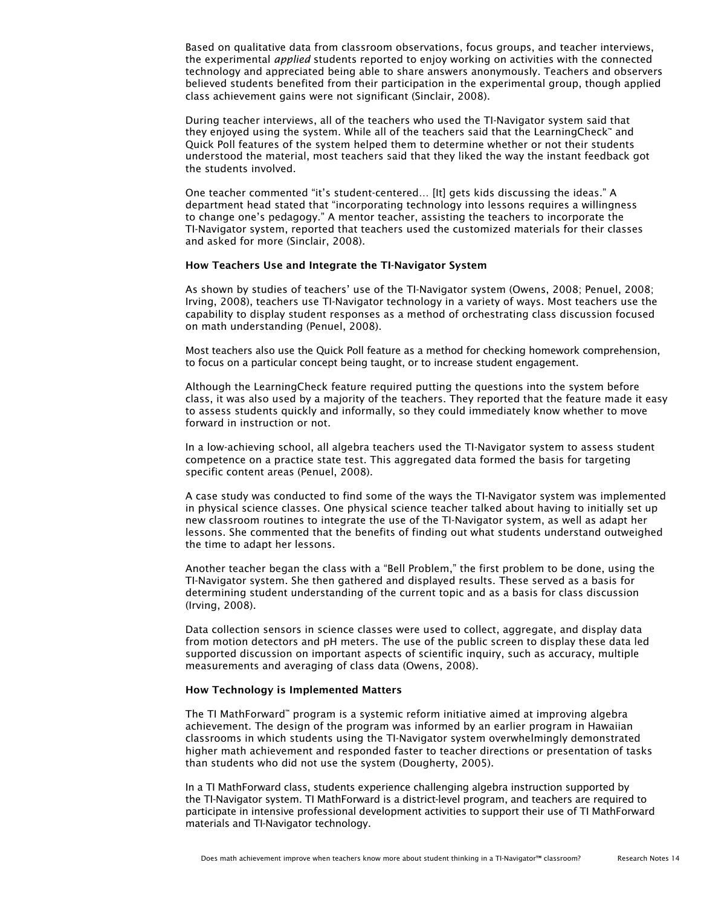Based on qualitative data from classroom observations, focus groups, and teacher interviews, the experimental *applied* students reported to enjoy working on activities with the connected technology and appreciated being able to share answers anonymously. Teachers and observers believed students benefited from their participation in the experimental group, though applied class achievement gains were not significant (Sinclair, 2008).

During teacher interviews, all of the teachers who used the TI-Navigator system said that they enjoyed using the system. While all of the teachers said that the LearningCheck™ and Quick Poll features of the system helped them to determine whether or not their students understood the material, most teachers said that they liked the way the instant feedback got the students involved.

One teacher commented "it's student-centered… [It] gets kids discussing the ideas." A department head stated that "incorporating technology into lessons requires a willingness to change one's pedagogy." A mentor teacher, assisting the teachers to incorporate the TI-Navigator system, reported that teachers used the customized materials for their classes and asked for more (Sinclair, 2008).

### How Teachers Use and Integrate the TI-Navigator System

As shown by studies of teachers' use of the TI-Navigator system (Owens, 2008; Penuel, 2008; Irving, 2008), teachers use TI-Navigator technology in a variety of ways. Most teachers use the capability to display student responses as a method of orchestrating class discussion focused on math understanding (Penuel, 2008).

Most teachers also use the Quick Poll feature as a method for checking homework comprehension, to focus on a particular concept being taught, or to increase student engagement.

Although the LearningCheck feature required putting the questions into the system before class, it was also used by a majority of the teachers. They reported that the feature made it easy to assess students quickly and informally, so they could immediately know whether to move forward in instruction or not.

In a low-achieving school, all algebra teachers used the TI-Navigator system to assess student competence on a practice state test. This aggregated data formed the basis for targeting specific content areas (Penuel, 2008).

A case study was conducted to find some of the ways the TI-Navigator system was implemented in physical science classes. One physical science teacher talked about having to initially set up new classroom routines to integrate the use of the TI-Navigator system, as well as adapt her lessons. She commented that the benefits of finding out what students understand outweighed the time to adapt her lessons.

Another teacher began the class with a "Bell Problem," the first problem to be done, using the TI-Navigator system. She then gathered and displayed results. These served as a basis for determining student understanding of the current topic and as a basis for class discussion (Irving, 2008).

Data collection sensors in science classes were used to collect, aggregate, and display data from motion detectors and pH meters. The use of the public screen to display these data led supported discussion on important aspects of scientific inquiry, such as accuracy, multiple measurements and averaging of class data (Owens, 2008).

#### How Technology is Implemented Matters

The TI MathForward™ program is a systemic reform initiative aimed at improving algebra achievement. The design of the program was informed by an earlier program in Hawaiian classrooms in which students using the TI-Navigator system overwhelmingly demonstrated higher math achievement and responded faster to teacher directions or presentation of tasks than students who did not use the system (Dougherty, 2005).

In a TI MathForward class, students experience challenging algebra instruction supported by the TI-Navigator system. TI MathForward is a district-level program, and teachers are required to participate in intensive professional development activities to support their use of TI MathForward materials and TI-Navigator technology.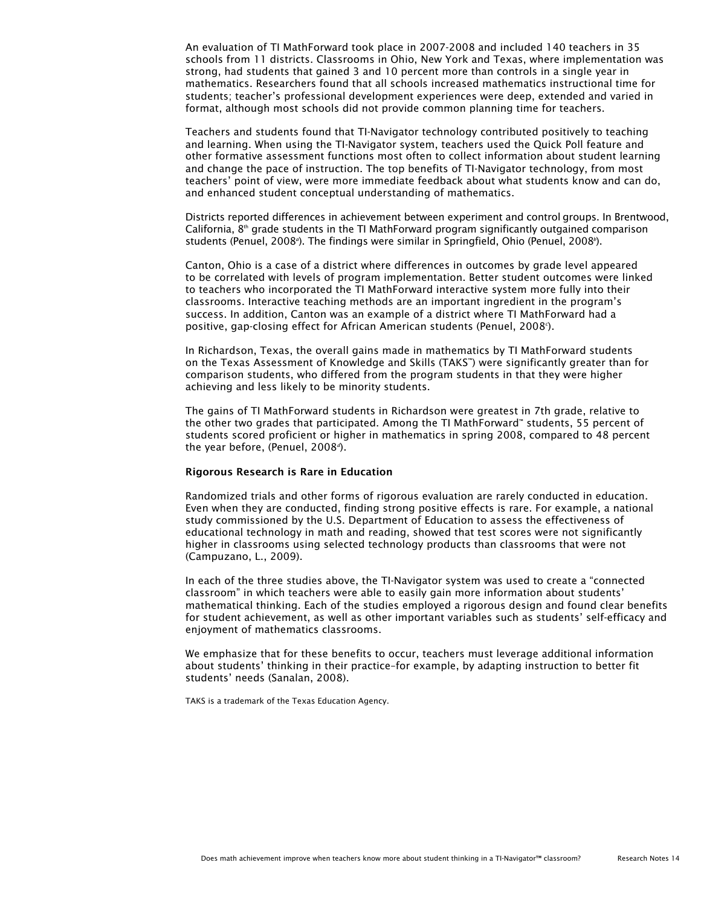An evaluation of TI MathForward took place in 2007-2008 and included 140 teachers in 35 schools from 11 districts. Classrooms in Ohio, New York and Texas, where implementation was strong, had students that gained 3 and 10 percent more than controls in a single year in mathematics. Researchers found that all schools increased mathematics instructional time for students; teacher's professional development experiences were deep, extended and varied in format, although most schools did not provide common planning time for teachers.

Teachers and students found that TI-Navigator technology contributed positively to teaching and learning. When using the TI-Navigator system, teachers used the Quick Poll feature and other formative assessment functions most often to collect information about student learning and change the pace of instruction. The top benefits of TI-Navigator technology, from most teachers' point of view, were more immediate feedback about what students know and can do, and enhanced student conceptual understanding of mathematics.

Districts reported differences in achievement between experiment and control groups. In Brentwood, California,  $8<sup>th</sup>$  grade students in the TI MathForward program significantly outgained comparison students (Penuel, 2008<sup>o</sup>). The findings were similar in Springfield, Ohio (Penuel, 2008<sup>o</sup>).

Canton, Ohio is a case of a district where differences in outcomes by grade level appeared to be correlated with levels of program implementation. Better student outcomes were linked to teachers who incorporated the TI MathForward interactive system more fully into their classrooms. Interactive teaching methods are an important ingredient in the program's success. In addition, Canton was an example of a district where TI MathForward had a positive, gap-closing effect for African American students (Penuel, 2008*<sup>c</sup>* ).

In Richardson, Texas, the overall gains made in mathematics by TI MathForward students on the Texas Assessment of Knowledge and Skills (TAKS™) were significantly greater than for comparison students, who differed from the program students in that they were higher achieving and less likely to be minority students.

The gains of TI MathForward students in Richardson were greatest in 7th grade, relative to the other two grades that participated. Among the TI MathForward™ students, 55 percent of students scored proficient or higher in mathematics in spring 2008, compared to 48 percent the year before, (Penuel, 2008*<sup>d</sup>* ).

### Rigorous Research is Rare in Education

Randomized trials and other forms of rigorous evaluation are rarely conducted in education. Even when they are conducted, finding strong positive effects is rare. For example, a national study commissioned by the U.S. Department of Education to assess the effectiveness of educational technology in math and reading, showed that test scores were not significantly higher in classrooms using selected technology products than classrooms that were not (Campuzano, L., 2009).

In each of the three studies above, the TI-Navigator system was used to create a "connected classroom" in which teachers were able to easily gain more information about students' mathematical thinking. Each of the studies employed a rigorous design and found clear benefits for student achievement, as well as other important variables such as students' self-efficacy and enjoyment of mathematics classrooms.

We emphasize that for these benefits to occur, teachers must leverage additional information about students' thinking in their practice–for example, by adapting instruction to better fit students' needs (Sanalan, 2008).

TAKS is a trademark of the Texas Education Agency.